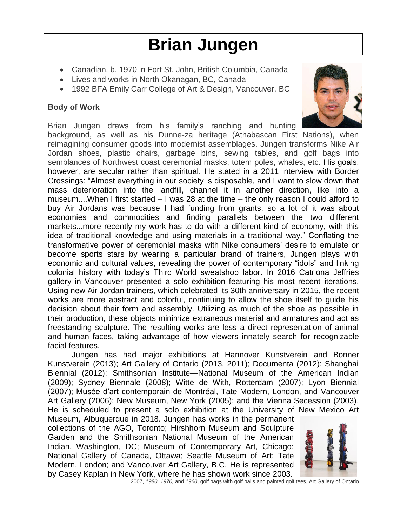# **Brian Jungen**

- Canadian, b. 1970 in Fort St. John, British Columbia, Canada
- Lives and works in North Okanagan, BC, Canada
- 1992 BFA Emily Carr College of Art & Design, Vancouver, BC

## **Body of Work**

Brian Jungen draws from his family's ranching and hunting



background, as well as his Dunne-za heritage (Athabascan First Nations), when reimagining consumer goods into modernist assemblages. Jungen transforms Nike Air Jordan shoes, plastic chairs, garbage bins, sewing tables, and golf bags into semblances of Northwest coast ceremonial masks, totem poles, whales, etc. His goals, however, are secular rather than spiritual. He stated in a 2011 interview with Border Crossings: "Almost everything in our society is disposable, and I want to slow down that mass deterioration into the landfill, channel it in another direction, like into a museum....When I first started – I was 28 at the time – the only reason I could afford to buy Air Jordans was because I had funding from grants, so a lot of it was about economies and commodities and finding parallels between the two different markets...more recently my work has to do with a different kind of economy, with this idea of traditional knowledge and using materials in a traditional way." Conflating the transformative power of ceremonial masks with Nike consumers' desire to emulate or become sports stars by wearing a particular brand of trainers, Jungen plays with economic and cultural values, revealing the power of contemporary "idols" and linking colonial history with today's Third World sweatshop labor. In 2016 Catriona Jeffries gallery in Vancouver presented a solo exhibition featuring his most recent iterations. Using new Air Jordan trainers, which celebrated its 30th anniversary in 2015, the recent works are more abstract and colorful, continuing to allow the shoe itself to guide his decision about their form and assembly. Utilizing as much of the shoe as possible in their production, these objects minimize extraneous material and armatures and act as freestanding sculpture. The resulting works are less a direct representation of animal and human faces, taking advantage of how viewers innately search for recognizable facial features.

Jungen has had major exhibitions at Hannover Kunstverein and Bonner Kunstverein (2013); Art Gallery of Ontario (2013, 2011); Documenta (2012); Shanghai Biennial (2012); Smithsonian Institute—National Museum of the American Indian (2009); Sydney Biennale (2008); Witte de With, Rotterdam (2007); Lyon Biennial (2007); Musée d'art contemporain de Montréal, Tate Modern, London, and Vancouver Art Gallery (2006); New Museum, New York (2005); and the Vienna Secession (2003). He is scheduled to present a solo exhibition at the University of New Mexico Art

Museum, Albuquerque in 2018. Jungen has works in the permanent collections of the AGO, Toronto; Hirshhorn Museum and Sculpture Garden and the Smithsonian National Museum of the American Indian, Washington, DC; Museum of Contemporary Art, Chicago; National Gallery of Canada, Ottawa; Seattle Museum of Art; Tate Modern, London; and Vancouver Art Gallery, B.C. He is represented by Casey Kaplan in New York, where he has shown work since 2003.



2007, *1980, 1970,* and *1960*, golf bags with golf balls and painted golf tees, Art Gallery of Ontario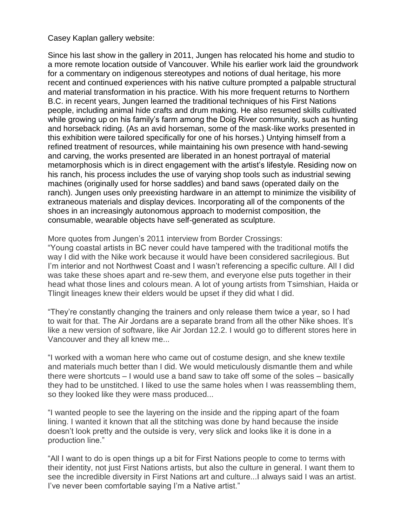### Casey Kaplan gallery website:

Since his last show in the gallery in 2011, Jungen has relocated his home and studio to a more remote location outside of Vancouver. While his earlier work laid the groundwork for a commentary on indigenous stereotypes and notions of dual heritage, his more recent and continued experiences with his native culture prompted a palpable structural and material transformation in his practice. With his more frequent returns to Northern B.C. in recent years, Jungen learned the traditional techniques of his First Nations people, including animal hide crafts and drum making. He also resumed skills cultivated while growing up on his family's farm among the Doig River community, such as hunting and horseback riding. (As an avid horseman, some of the mask-like works presented in this exhibition were tailored specifically for one of his horses.) Untying himself from a refined treatment of resources, while maintaining his own presence with hand-sewing and carving, the works presented are liberated in an honest portrayal of material metamorphosis which is in direct engagement with the artist's lifestyle. Residing now on his ranch, his process includes the use of varying shop tools such as industrial sewing machines (originally used for horse saddles) and band saws (operated daily on the ranch). Jungen uses only preexisting hardware in an attempt to minimize the visibility of extraneous materials and display devices. Incorporating all of the components of the shoes in an increasingly autonomous approach to modernist composition, the consumable, wearable objects have self-generated as sculpture.

More quotes from Jungen's 2011 interview from Border Crossings:

"Young coastal artists in BC never could have tampered with the traditional motifs the way I did with the Nike work because it would have been considered sacrilegious. But I'm interior and not Northwest Coast and I wasn't referencing a specific culture. All I did was take these shoes apart and re-sew them, and everyone else puts together in their head what those lines and colours mean. A lot of young artists from Tsimshian, Haida or Tlingit lineages knew their elders would be upset if they did what I did.

"They're constantly changing the trainers and only release them twice a year, so I had to wait for that. The Air Jordans are a separate brand from all the other Nike shoes. It's like a new version of software, like Air Jordan 12.2. I would go to different stores here in Vancouver and they all knew me...

"I worked with a woman here who came out of costume design, and she knew textile and materials much better than I did. We would meticulously dismantle them and while there were shortcuts – I would use a band saw to take off some of the soles – basically they had to be unstitched. I liked to use the same holes when I was reassembling them, so they looked like they were mass produced...

"I wanted people to see the layering on the inside and the ripping apart of the foam lining. I wanted it known that all the stitching was done by hand because the inside doesn't look pretty and the outside is very, very slick and looks like it is done in a production line."

"All I want to do is open things up a bit for First Nations people to come to terms with their identity, not just First Nations artists, but also the culture in general. I want them to see the incredible diversity in First Nations art and culture...I always said I was an artist. I've never been comfortable saying I'm a Native artist."